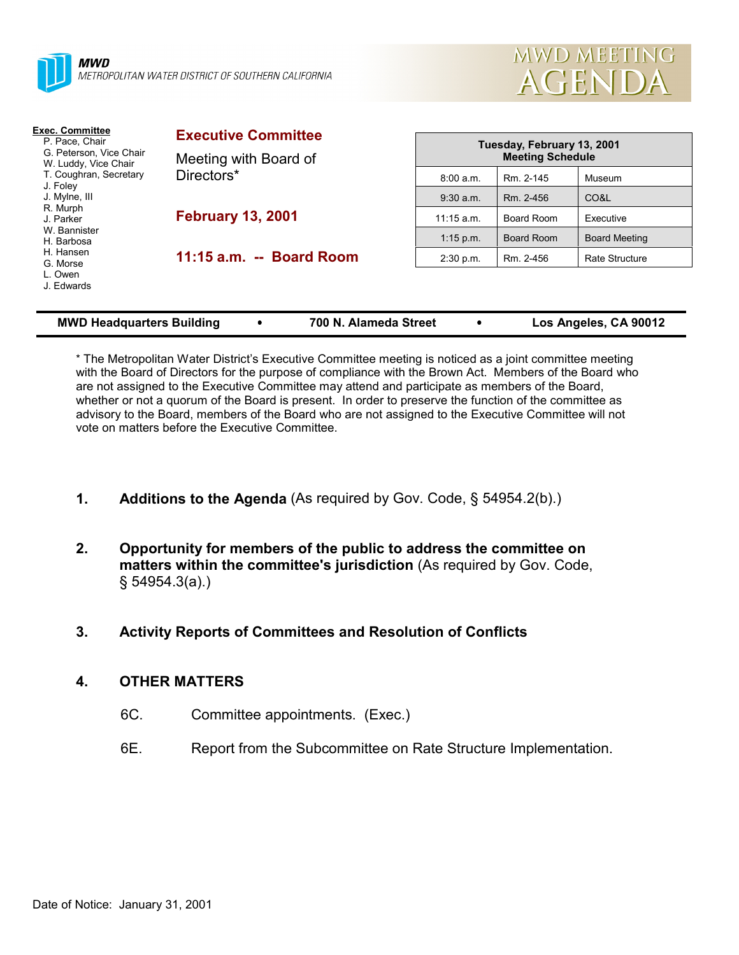



| <b>Exec. Committee</b><br>P. Pace, Chair<br>G. Peterson, Vice Chair<br>W. Luddy, Vice Chair<br>T. Coughran, Secretary<br>J. Foley<br>J. Mylne, III<br>R. Murph<br>J. Parker<br>W. Bannister<br>H. Barbosa<br>H. Hansen<br>G. Morse<br>L. Owen<br>J. Edwards | <b>Executive Committee</b><br>Meeting with Board of<br>Directors* |              | Tuesday, February 13, 2001<br><b>Meeting Schedule</b> |                      |  |
|-------------------------------------------------------------------------------------------------------------------------------------------------------------------------------------------------------------------------------------------------------------|-------------------------------------------------------------------|--------------|-------------------------------------------------------|----------------------|--|
|                                                                                                                                                                                                                                                             |                                                                   | 8:00 a.m.    | Rm. 2-145                                             | Museum               |  |
|                                                                                                                                                                                                                                                             |                                                                   | $9:30$ a.m.  | Rm. 2-456                                             | CO&L                 |  |
|                                                                                                                                                                                                                                                             | <b>February 13, 2001</b>                                          | $11:15$ a.m. | Board Room                                            | Executive            |  |
|                                                                                                                                                                                                                                                             |                                                                   | $1:15$ p.m.  | Board Room                                            | <b>Board Meeting</b> |  |
|                                                                                                                                                                                                                                                             | 11:15 a.m. -- Board Room                                          | 2:30 p.m.    | Rm. 2-456                                             | Rate Structure       |  |
|                                                                                                                                                                                                                                                             |                                                                   |              |                                                       |                      |  |

| <b>MWD Headquarters Building</b> |  | 700 N. Alameda Street |  | Los Angeles, CA 90012 |
|----------------------------------|--|-----------------------|--|-----------------------|
|----------------------------------|--|-----------------------|--|-----------------------|

\* The Metropolitan Water District's Executive Committee meeting is noticed as a joint committee meeting with the Board of Directors for the purpose of compliance with the Brown Act. Members of the Board who are not assigned to the Executive Committee may attend and participate as members of the Board, whether or not a quorum of the Board is present. In order to preserve the function of the committee as advisory to the Board, members of the Board who are not assigned to the Executive Committee will not vote on matters before the Executive Committee.

- **1. Additions to the Agenda** (As required by Gov. Code, § 54954.2(b).)
- **2. Opportunity for members of the public to address the committee on matters within the committee's jurisdiction** (As required by Gov. Code, § 54954.3(a).)
- **3. Activity Reports of Committees and Resolution of Conflicts**

# **4. OTHER MATTERS**

- 6C. Committee appointments. (Exec.)
- 6E. Report from the Subcommittee on Rate Structure Implementation.